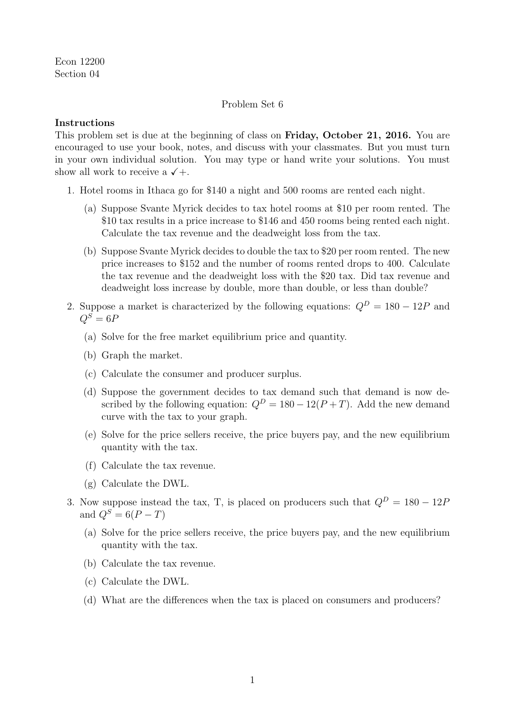Econ 12200 Section 04

## Problem Set 6

## Instructions

This problem set is due at the beginning of class on Friday, October 21, 2016. You are encouraged to use your book, notes, and discuss with your classmates. But you must turn in your own individual solution. You may type or hand write your solutions. You must show all work to receive a  $\checkmark$  +.

- 1. Hotel rooms in Ithaca go for \$140 a night and 500 rooms are rented each night.
	- (a) Suppose Svante Myrick decides to tax hotel rooms at \$10 per room rented. The \$10 tax results in a price increase to \$146 and 450 rooms being rented each night. Calculate the tax revenue and the deadweight loss from the tax.
	- (b) Suppose Svante Myrick decides to double the tax to \$20 per room rented. The new price increases to \$152 and the number of rooms rented drops to 400. Calculate the tax revenue and the deadweight loss with the \$20 tax. Did tax revenue and deadweight loss increase by double, more than double, or less than double?
- 2. Suppose a market is characterized by the following equations:  $Q^D = 180 12P$  and  $Q^S = 6P$ 
	- (a) Solve for the free market equilibrium price and quantity.
	- (b) Graph the market.
	- (c) Calculate the consumer and producer surplus.
	- (d) Suppose the government decides to tax demand such that demand is now described by the following equation:  $Q^D = 180 - 12(P + T)$ . Add the new demand curve with the tax to your graph.
	- (e) Solve for the price sellers receive, the price buyers pay, and the new equilibrium quantity with the tax.
	- (f) Calculate the tax revenue.
	- (g) Calculate the DWL.
- 3. Now suppose instead the tax, T, is placed on producers such that  $Q^D = 180 12P$ and  $Q^S = 6(P - T)$ 
	- (a) Solve for the price sellers receive, the price buyers pay, and the new equilibrium quantity with the tax.
	- (b) Calculate the tax revenue.
	- (c) Calculate the DWL.
	- (d) What are the differences when the tax is placed on consumers and producers?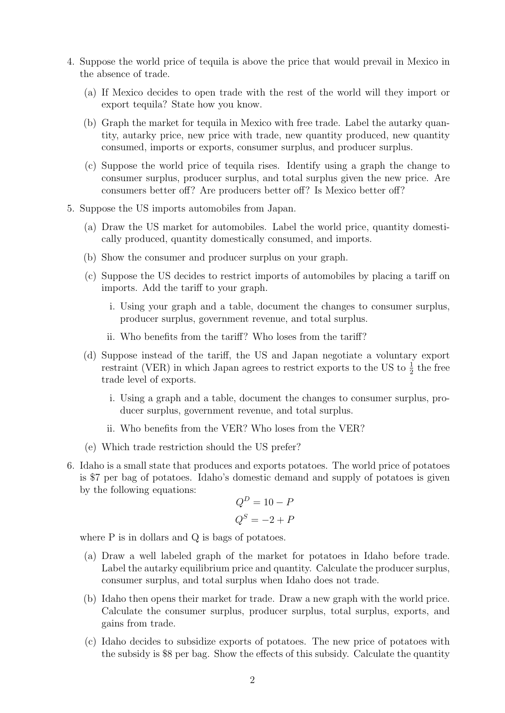- 4. Suppose the world price of tequila is above the price that would prevail in Mexico in the absence of trade.
	- (a) If Mexico decides to open trade with the rest of the world will they import or export tequila? State how you know.
	- (b) Graph the market for tequila in Mexico with free trade. Label the autarky quantity, autarky price, new price with trade, new quantity produced, new quantity consumed, imports or exports, consumer surplus, and producer surplus.
	- (c) Suppose the world price of tequila rises. Identify using a graph the change to consumer surplus, producer surplus, and total surplus given the new price. Are consumers better off? Are producers better off? Is Mexico better off?
- 5. Suppose the US imports automobiles from Japan.
	- (a) Draw the US market for automobiles. Label the world price, quantity domestically produced, quantity domestically consumed, and imports.
	- (b) Show the consumer and producer surplus on your graph.
	- (c) Suppose the US decides to restrict imports of automobiles by placing a tariff on imports. Add the tariff to your graph.
		- i. Using your graph and a table, document the changes to consumer surplus, producer surplus, government revenue, and total surplus.
		- ii. Who benefits from the tariff? Who loses from the tariff?
	- (d) Suppose instead of the tariff, the US and Japan negotiate a voluntary export restraint (VER) in which Japan agrees to restrict exports to the US to  $\frac{1}{2}$  the free trade level of exports.
		- i. Using a graph and a table, document the changes to consumer surplus, producer surplus, government revenue, and total surplus.
		- ii. Who benefits from the VER? Who loses from the VER?
	- (e) Which trade restriction should the US prefer?
- 6. Idaho is a small state that produces and exports potatoes. The world price of potatoes is \$7 per bag of potatoes. Idaho's domestic demand and supply of potatoes is given by the following equations:

$$
Q^D = 10 - P
$$

$$
Q^S = -2 + P
$$

where P is in dollars and Q is bags of potatoes.

- (a) Draw a well labeled graph of the market for potatoes in Idaho before trade. Label the autarky equilibrium price and quantity. Calculate the producer surplus, consumer surplus, and total surplus when Idaho does not trade.
- (b) Idaho then opens their market for trade. Draw a new graph with the world price. Calculate the consumer surplus, producer surplus, total surplus, exports, and gains from trade.
- (c) Idaho decides to subsidize exports of potatoes. The new price of potatoes with the subsidy is \$8 per bag. Show the effects of this subsidy. Calculate the quantity